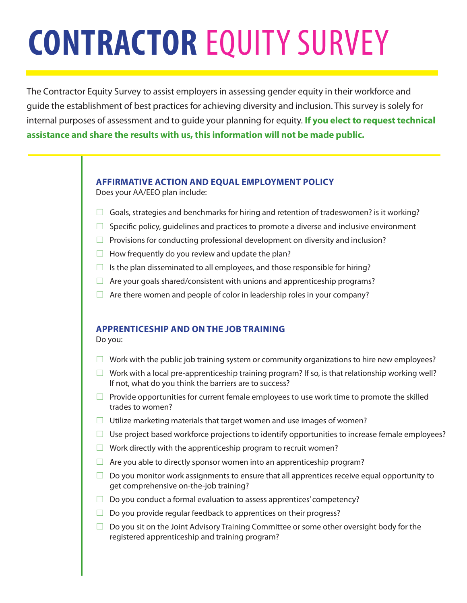# **CONTRACTOR** EQUITY SURVEY

The Contractor Equity Survey to assist employers in assessing gender equity in their workforce and guide the establishment of best practices for achieving diversity and inclusion. This survey is solely for internal purposes of assessment and to guide your planning for equity. **If you elect to request technical assistance and share the results with us, this information will not be made public.**

## **AFFIRMATIVE ACTION AND EQUAL EMPLOYMENT POLICY**

Does your AA/EEO plan include:

- $\Box$  Goals, strategies and benchmarks for hiring and retention of tradeswomen? is it working?
- $\Box$  Specific policy, quidelines and practices to promote a diverse and inclusive environment
- $\Box$  Provisions for conducting professional development on diversity and inclusion?
- $\Box$  How frequently do you review and update the plan?
- $\Box$  Is the plan disseminated to all employees, and those responsible for hiring?
- $\Box$  Are your goals shared/consistent with unions and apprenticeship programs?
- $\Box$  Are there women and people of color in leadership roles in your company?

## **APPRENTICESHIP AND ON THE JOB TRAINING**

Do you:

- $\Box$  Work with the public job training system or community organizations to hire new employees?
- $\Box$  Work with a local pre-apprenticeship training program? If so, is that relationship working well? If not, what do you think the barriers are to success?
- $\Box$  Provide opportunities for current female employees to use work time to promote the skilled trades to women?
- $\Box$  Utilize marketing materials that target women and use images of women?
- $\Box$  Use project based workforce projections to identify opportunities to increase female employees?
- $\Box$  Work directly with the apprenticeship program to recruit women?
- $\Box$  Are you able to directly sponsor women into an apprenticeship program?
- $\Box$  Do you monitor work assignments to ensure that all apprentices receive equal opportunity to get comprehensive on-the-job training?
- $\Box$  Do you conduct a formal evaluation to assess apprentices' competency?
- $\Box$  Do you provide regular feedback to apprentices on their progress?
- $\Box$  Do you sit on the Joint Advisory Training Committee or some other oversight body for the registered apprenticeship and training program?